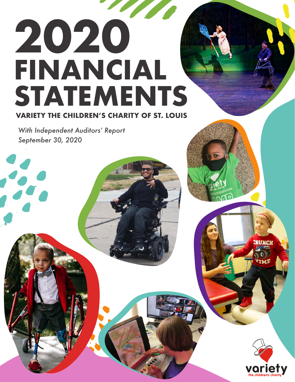# **2020 FINANCIAL STATEMENTS VARIETY THE CHILDREN'S CHARITY OF ST. LOUIS**

*With Independent Auditors' Report September 30, 2020*



RUNCH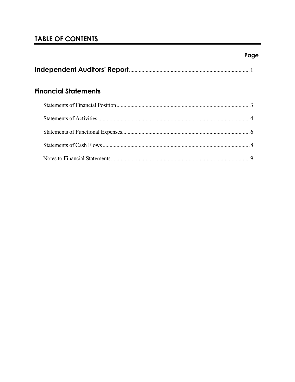# **TABLE OF CONTENTS**

## Page

| <b>Financial Statements</b> |  |  |  |  |  |
|-----------------------------|--|--|--|--|--|
|                             |  |  |  |  |  |
|                             |  |  |  |  |  |
|                             |  |  |  |  |  |
|                             |  |  |  |  |  |
|                             |  |  |  |  |  |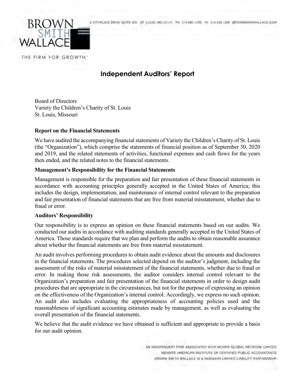6 CITYPLACE DRIVE SUITE 900 ST LOUIS MO 63141 PH 314/883/1200 FX 314/983 1300 BROWNSMITHWALLACE COM



THE FIRM FOR GROWTH.

## **Independent Auditors' Report**

Board of Directors Variety the Children's Charity of St. Louis St. Louis, Missouri

#### **Report on the Financial Statements**

We have audited the accompanying financial statements of Variety the Children's Charity of St. Louis (the "Organization"), which comprise the statements of financial position as of September 30, 2020 and 2019, and the related statements of activities, functional expenses and cash flows for the years then ended, and the related notes to the financial statements.

#### **Management's Responsibility for the Financial Statements**

Management is responsible for the preparation and fair presentation of these financial statements in accordance with accounting principles generally accepted in the United States of America; this includes the design, implementation, and maintenance of internal control relevant to the preparation and fair presentation of financial statements that are free from material misstatement, whether due to fraud or error.

#### **Auditors' Responsibility**

Our responsibility is to express an opinion on these financial statements based on our audits. We conducted our audits in accordance with auditing standards generally accepted in the United States of America. Those standards require that we plan and perform the audits to obtain reasonable assurance about whether the financial statements are free from material misstatement.

An audit involves performing procedures to obtain audit evidence about the amounts and disclosures in the financial statements. The procedures selected depend on the auditor's judgment, including the assessment of the risks of material misstatement of the financial statements, whether due to fraud or error. In making those risk assessments, the auditor considers internal control relevant to the Organization's preparation and fair presentation of the financial statements in order to design audit procedures that are appropriate in the circumstances, but not for the purpose of expressing an opinion on the effectiveness of the Organization's internal control. Accordingly, we express no such opinion. An audit also includes evaluating the appropriateness of accounting policies used and the reasonableness of significant accounting estimates made by management, as well as evaluating the overall presentation of the financial statements.

We believe that the audit evidence we have obtained is sufficient and appropriate to provide a basis for our audit opinion.

> AN INDEPENDENT FIRM ASSOCIATED WITH MOORE GLOBAL NETWORK LIMITED MEMBER AMERICAN INSTITUTE OF CERTIFIED PUBLIC ACCOUNTANTS BROWN SMITH WALLACE IS A MISSOURI LIMITED LIABILITY PARTNERSHIP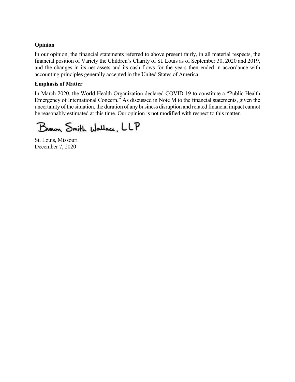#### **Opinion**

In our opinion, the financial statements referred to above present fairly, in all material respects, the financial position of Variety the Children's Charity of St. Louis as of September 30, 2020 and 2019, and the changes in its net assets and its cash flows for the years then ended in accordance with accounting principles generally accepted in the United States of America.

#### **Emphasis of Matter**

In March 2020, the World Health Organization declared COVID-19 to constitute a "Public Health Emergency of International Concern." As discussed in Note M to the financial statements, given the uncertainty of the situation, the duration of any business disruption and related financial impact cannot be reasonably estimated at this time. Our opinion is not modified with respect to this matter.

Brown Smith Wallace, LLP

St. Louis, Missouri December 7, 2020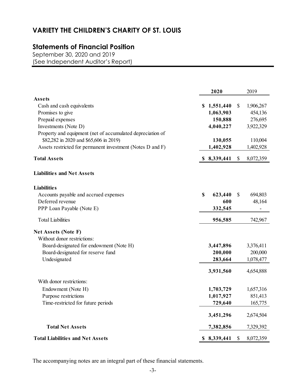### **Statements of Financial Position**

September 30, 2020 and 2019 (See Independent Auditor's Report)

|                                                            |    | 2020         |              | 2019      |
|------------------------------------------------------------|----|--------------|--------------|-----------|
| Assets                                                     |    |              |              |           |
| Cash and cash equivalents                                  | S. | 1,551,440    | $\mathbb{S}$ | 1,906,267 |
| Promises to give                                           |    | 1,063,903    |              | 454,136   |
| Prepaid expenses                                           |    | 150,888      |              | 276,695   |
| Investments (Note D)                                       |    | 4,040,227    |              | 3,922,329 |
| Property and equipment (net of accumulated depreciation of |    |              |              |           |
| \$82,282 in 2020 and \$65,606 in 2019)                     |    | 130,055      |              | 110,004   |
| Assets restricted for permanent investment (Notes D and F) |    | 1,402,928    |              | 1,402,928 |
| <b>Total Assets</b>                                        |    | \$ 8,339,441 | \$           | 8,072,359 |
| <b>Liabilities and Net Assets</b>                          |    |              |              |           |
| <b>Liabilities</b>                                         |    |              |              |           |
| Accounts payable and accrued expenses                      | \$ | 623,440      | \$           | 694,803   |
| Deferred revenue                                           |    | 600          |              | 48,164    |
| PPP Loan Payable (Note E)                                  |    | 332,545      |              |           |
| <b>Total Liabilities</b>                                   |    | 956,585      |              | 742,967   |
| <b>Net Assets (Note F)</b>                                 |    |              |              |           |
| Without donor restrictions:                                |    |              |              |           |
| Board-designated for endowment (Note H)                    |    | 3,447,896    |              | 3,376,411 |
| Board-designated for reserve fund                          |    | 200,000      |              | 200,000   |
| Undesignated                                               |    | 283,664      |              | 1,078,477 |
|                                                            |    | 3,931,560    |              | 4,654,888 |
| With donor restrictions:                                   |    |              |              |           |
| Endowment (Note H)                                         |    | 1,703,729    |              | 1,657,316 |
| Purpose restrictions                                       |    | 1,017,927    |              | 851,413   |
| Time-restricted for future periods                         |    | 729,640      |              | 165,775   |
|                                                            |    | 3,451,296    |              | 2,674,504 |
| <b>Total Net Assets</b>                                    |    | 7,382,856    |              | 7,329,392 |
| <b>Total Liabilities and Net Assets</b>                    |    | \$ 8,339,441 | \$           | 8,072,359 |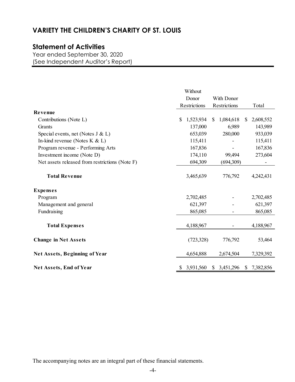## **Statement of Activities**

Year ended September 30, 2020 (See Independent Auditor's Report)

|                                                | Without         |                            |                           |
|------------------------------------------------|-----------------|----------------------------|---------------------------|
|                                                | Donor           | With Donor                 |                           |
|                                                | Restrictions    | Restrictions               | Total                     |
| Revenue                                        |                 |                            |                           |
| Contributions (Note L)                         | \$<br>1,523,934 | 1,084,618<br><sup>\$</sup> | 2,608,552<br>\$           |
| Grants                                         | 137,000         | 6,989                      | 143,989                   |
| Special events, net (Notes J & L)              | 653,039         | 280,000                    | 933,039                   |
| In-kind revenue (Notes K $&$ L)                | 115,411         |                            | 115,411                   |
| Program revenue - Performing Arts              | 167,836         |                            | 167,836                   |
| Investment income (Note D)                     | 174,110         | 99,494                     | 273,604                   |
| Net assets released from restrictions (Note F) | 694,309         | (694,309)                  |                           |
| <b>Total Revenue</b>                           | 3,465,639       | 776,792                    | 4,242,431                 |
| <b>Expenses</b>                                |                 |                            |                           |
| Program                                        | 2,702,485       |                            | 2,702,485                 |
| Management and general                         | 621,397         |                            | 621,397                   |
| Fundraising                                    | 865,085         |                            | 865,085                   |
| <b>Total Expenses</b>                          | 4,188,967       |                            | 4,188,967                 |
| <b>Change in Net Assets</b>                    | (723,328)       | 776,792                    | 53,464                    |
| <b>Net Assets, Beginning of Year</b>           | 4,654,888       | 2,674,504                  | 7,329,392                 |
| Net Assets, End of Year                        | 3,931,560<br>\$ | 3,451,296<br>\$            | 7,382,856<br><sup>S</sup> |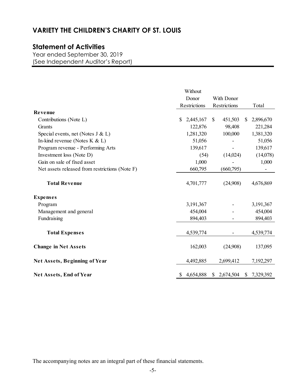## **Statement of Activities**

Year ended September 30, 2019 (See Independent Auditor's Report)

|                                                | Without        |                         |                            |
|------------------------------------------------|----------------|-------------------------|----------------------------|
|                                                | Donor          | With Donor              |                            |
|                                                | Restrictions   | Restrictions            | Total                      |
| Revenue                                        |                |                         |                            |
| Contributions (Note L)                         | S<br>2,445,167 | $\mathbb{S}$<br>451,503 | 2,896,670<br><sup>\$</sup> |
| Grants                                         | 122,876        | 98,408                  | 221,284                    |
| Special events, net (Notes J & L)              | 1,281,320      | 100,000                 | 1,381,320                  |
| In-kind revenue (Notes K $&$ L)                | 51,056         |                         | 51,056                     |
| Program revenue - Performing Arts              | 139,617        |                         | 139,617                    |
| Investment loss (Note D)                       | (54)           | (14,024)                | (14,078)                   |
| Gain on sale of fixed asset                    | 1,000          |                         | 1,000                      |
| Net assets released from restrictions (Note F) | 660,795        | (660,795)               |                            |
| <b>Total Revenue</b>                           | 4,701,777      | (24,908)                | 4,676,869                  |
| <b>Expenses</b>                                |                |                         |                            |
| Program                                        | 3,191,367      |                         | 3,191,367                  |
| Management and general                         | 454,004        |                         | 454,004                    |
| Fundraising                                    | 894,403        | ۰                       | 894,403                    |
| <b>Total Expenses</b>                          | 4,539,774      |                         | 4,539,774                  |
| <b>Change in Net Assets</b>                    | 162,003        | (24,908)                | 137,095                    |
| <b>Net Assets, Beginning of Year</b>           | 4,492,885      | 2,699,412               | 7,192,297                  |
| Net Assets, End of Year                        | 4,654,888<br>S | 2,674,504<br>\$         | 7,329,392<br>\$            |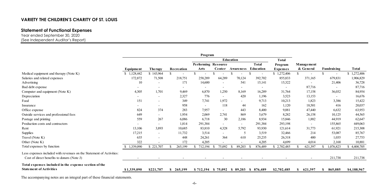#### **Statement of Functional Expenses**

Year ended September 30, 2020 (See Independent Auditor's Report)

|                                                                                                                    |                          |                          |              |                          | Program                               |                |                            |                                |                          |                      |                    |                    |              |
|--------------------------------------------------------------------------------------------------------------------|--------------------------|--------------------------|--------------|--------------------------|---------------------------------------|----------------|----------------------------|--------------------------------|--------------------------|----------------------|--------------------|--------------------|--------------|
|                                                                                                                    |                          |                          |              |                          |                                       |                | <b>Education</b>           |                                | <b>Total</b>             |                      |                    |                    |              |
|                                                                                                                    |                          |                          |              |                          | <b>Performing Resource</b>            |                |                            | <b>Total</b>                   | Program                  | Management           |                    |                    |              |
|                                                                                                                    | <b>Equipment</b>         | <b>The rapy</b>          |              | Recreation               | Arts                                  | Center         | <b>Awareness Education</b> |                                | <b>Expenses</b>          | & General            |                    | <b>Fundraising</b> | <b>Total</b> |
| Medical equipment and therapy (Note K)                                                                             | \$1,128,442              | \$143,964                | $\mathbb{S}$ |                          | \$.                                   |                | <sup>\$</sup>              | -S<br>$\overline{\phantom{a}}$ | \$1,272,406              | \$<br>$\blacksquare$ | <b>S</b>           |                    | \$1,272,406  |
| Salaries and related expenses                                                                                      | 172,872                  | 71,508                   |              | 218,751                  | 258,289                               | 64,289         | 70,124                     | 392,702                        | 855,833                  | 371,165              |                    | 679,831            | 1,906,829    |
| Advertising                                                                                                        | 10                       | $\blacksquare$           |              | 171                      | 14,600                                |                | 541                        | 15,141                         | 15,322                   | $\sim$               |                    | 21,406             | 36,728       |
| Bad debt expense                                                                                                   | $\overline{\phantom{a}}$ | $\overline{\phantom{a}}$ |              | $\overline{\phantom{a}}$ | $\overline{\phantom{a}}$              | $\sim$         | $\sim$                     | $\overline{\phantom{0}}$       | $\overline{\phantom{a}}$ | 87,716               |                    |                    | 87,716       |
| Computer and equipment (Note K)                                                                                    | 4,305                    | 1,701                    |              | 9,469                    | 6,870                                 | 1,250          | 8,169                      | 16,289                         | 31,764                   | 17,158               |                    | 36,032             | 84,954       |
| Depreciation                                                                                                       |                          | $\overline{\phantom{a}}$ |              | 2,327                    | 776                                   | $\sim$         | 420                        | 1,196                          | 3,523                    | 13,153               |                    |                    | 16,676       |
| Food                                                                                                               | 151                      | $\overline{\phantom{a}}$ |              | 349                      | 7,741                                 | 1,972          | $\sim$                     | 9,713                          | 10,213                   | 1,823                |                    | 3,386              | 15,422       |
| Insurance                                                                                                          | $\overline{\phantom{0}}$ | $\sim$                   |              | 958                      | $\sim$                                | 118            | 44                         | 162                            | 1,120                    | 18,501               |                    | 416                | 20,037       |
| Office expense                                                                                                     | 824                      | 374                      |              | 283                      | 7,957                                 | $\blacksquare$ | 443                        | 8,400                          | 9,881                    | 47,440               |                    | 6,632              | 63,953       |
| Outside services and professional fees                                                                             | 649                      | $\blacksquare$           |              | 1,954                    | 2,069                                 | 2,741          | 869                        | 5,679                          | 8,282                    | 26,158               |                    | 10,125             | 44,565       |
| Postage and printing                                                                                               | 559                      | 267                      |              | 6,086                    | 6,718                                 | 30             | 2,186                      | 8,934                          | 15,846                   | 1,882                |                    | 44,919             | 62,647       |
| Production costs and contractors                                                                                   |                          | $\blacksquare$           |              | 1,814                    | 291,384                               |                | $\sim$                     | 291,384                        | 293,198                  |                      |                    | 155,865            | 449,063      |
| Rent                                                                                                               | 13,106                   | 3,893                    |              | 10,685                   | 83,810                                | 4,328          | 5,792                      | 93,930                         | 121,614                  | 31,773               |                    | 61,921             | 215,308      |
| Supplies                                                                                                           | 17,215                   | $\overline{\phantom{a}}$ |              | 11,732                   | 3,514                                 | $\sim$         | 5                          | 3,519                          | 32,466                   | 214                  |                    | 53,087             | 85,767       |
| Travel (Note K)                                                                                                    | 635                      | $\overline{\phantom{a}}$ |              | 448                      | 24,261                                | 364            | 610                        | 25,235                         | 26,318                   | 400                  |                    | 1,035              | 27,753       |
| Other (Note K)                                                                                                     | 322                      |                          |              | 172                      | 4,205                                 |                |                            | 4,205                          | 4,699                    | 4,014                |                    | 2,168              | 10,881       |
| Total expenses by function                                                                                         | \$1,339,090              | \$221,707                |              | 265,199                  | $\mathbb{S}$<br>712,194               | 75,092<br>-8   | 89,203<br>- \$             | 876,489                        | \$2,702,485              | 621,397              | $\mathbf{\hat{s}}$ | 1,076,823          | \$4,400,705  |
| Less expenses included with revenues on the Statement of Activities:<br>Cost of direct benefits to donors (Note J) |                          |                          |              |                          |                                       |                |                            |                                |                          | $\sim$               |                    | 211,738            | 211,738      |
| Total expenses included in the expense section of the<br><b>Statement of Activities</b>                            | \$1,339,090              | \$221,707                |              | \$265,199                | \$712,194 \$75,092 \$89,203 \$876,489 |                |                            |                                | \$2,702,485              | 621,397              | $\mathbb{S}$       | 865,085            | \$4,188,967  |
| The accompanying notes are an integral part of these financial statements.                                         |                          |                          |              |                          |                                       |                |                            |                                |                          |                      |                    |                    |              |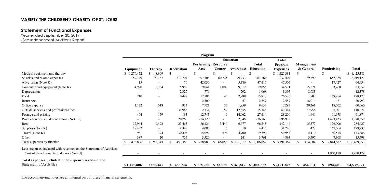#### **Statement of Functional Expenses**

Year ended September 30, 2019 (See Independent Auditor's Report)

|                                                                           |                  |                 |              |            | Program                    |                          |                              |                                         |                 |              |            |                    |                          |              |
|---------------------------------------------------------------------------|------------------|-----------------|--------------|------------|----------------------------|--------------------------|------------------------------|-----------------------------------------|-----------------|--------------|------------|--------------------|--------------------------|--------------|
|                                                                           |                  |                 |              |            |                            |                          | <b>Education</b>             |                                         | <b>Total</b>    |              |            |                    |                          |              |
|                                                                           |                  |                 |              |            | <b>Performing Resource</b> |                          |                              | <b>Total</b>                            | Program         |              | Management |                    |                          |              |
|                                                                           | <b>Equipment</b> | <b>The rapy</b> |              | Recreation | Arts                       | Center                   |                              | <b>Awareness Education</b>              | <b>Expenses</b> |              | & General  |                    | <b>Fundraising</b>       | <b>Total</b> |
| Medical equipment and therapy                                             | 1,276,472        | \$148,909       | $\mathbb{S}$ |            | $\overline{\phantom{a}}$   | $\mathbf S$              |                              | $\mathbf S$<br>$\overline{\phantom{a}}$ | \$1,425,381     | $\mathbb{S}$ |            | $\mathbf{\hat{S}}$ | $\overline{\phantom{a}}$ | \$1,425,381  |
| Salaries and related expenses                                             | 159,749          | 92,187          |              | 317,704    | 307,106                    | 60,725                   | 99,933                       | 467,764                                 | 1,037,404       |              | 329,399    |                    | 652,324                  | 2,019,127    |
| Advertising (Note K)                                                      | 15               |                 |              | 76         | 42,030                     | $\overline{\phantom{a}}$ | 5,386                        | 47,416                                  | 47,507          |              |            |                    | 17,427                   | 64,934       |
| Computer and equipment (Note K)                                           | 4,970            | 3,764           |              | 5,982      | 9,041                      | 1,002                    | 9,812                        | 19,855                                  | 34,571          |              | 15,221     |                    | 33,260                   | 83,052       |
| Depreciation                                                              |                  |                 |              | 2,327      | 776                        | $\sim$                   | 292                          | 1,068                                   | 3,395           |              | 8,983      |                    |                          | 12,378       |
| Food                                                                      | 210              | $\sim$          |              | 10,492     | 12,785                     | 45                       | 2,988                        | 15,818                                  | 26,520          |              | 1,703      |                    | 169,954                  | 198,177      |
| Insurance                                                                 |                  |                 |              |            | 2,500                      | $\sim$                   | 57                           | 2,557                                   | 2,557           |              | 18,014     |                    | 421                      | 20,992       |
| Office expense                                                            | 1,122            | 618             |              | 924        | 7,721                      | 53                       | 1,859                        | 9,633                                   | 12,297          |              | 29,261     |                    | 18,502                   | 60,060       |
| Outside services and professional fees                                    |                  | $\sim$          |              | 31,966     | 2,334                      | 159                      | 12,855                       | 15,348                                  | 47,314          |              | 27,956     |                    | 35,001                   | 110,271      |
| Postage and printing                                                      | 494              | 159             |              | 183        | 12,743                     | 9                        | 14,662                       | 27,414                                  | 28,250          |              | 1,646      |                    | 61,978                   | 91,874       |
| Production costs and contractors (Note K)                                 |                  |                 |              | 20,768     | 274,123                    | $\overline{\phantom{a}}$ | 2,045                        | 276,168                                 | 296,936         |              |            |                    | 1,473,423                | 1,770,359    |
| Rent                                                                      | 12,944           | 9,492           |              | 23,463     | 86,124                     | 3,444                    | 6,677                        | 96,245                                  | 142,144         |              | 15,377     |                    | 126,906                  | 284,427      |
| Supplies (Note K)                                                         | 18,482           |                 |              | 8,348      | 4,080                      | 25                       | 310                          | 4,415                                   | 31,245          |              | 428        |                    | 167,564                  | 199,237      |
| Travel (Note K)                                                           | 961              | 194             |              | 30,408     | 14,097                     | 593                      | 4,700                        | 19,390                                  | 50,953          |              | 2,419      |                    | 80,514                   | 133,886      |
| Other                                                                     | 387              | 20              |              | 725        | 3,520                      |                          | 241                          | 3,761                                   | 4,893           |              | 3,597      |                    | 7,308                    | 15,798       |
| Total expenses by function                                                | 1,475,806        | \$255,343       |              | 453,366    | 778,980                    | 66,055<br>- S            | 161,817<br>$\mathbb{S}$      | 1,006,852<br>$\mathbb{S}$               | \$3,191,367     |              | 454,004    | <sup>S</sup>       | 2,844,582                | \$6,489,953  |
| Less expenses included with revenues on the Statement of Activities:      |                  |                 |              |            |                            |                          |                              |                                         |                 |              |            |                    |                          |              |
| Cost of direct benefits to donors (Note J)                                |                  |                 |              |            |                            |                          |                              |                                         |                 |              |            |                    | 1,950,179                | 1,950,179    |
| Total expenses included in the expense section of the                     |                  |                 |              |            |                            |                          |                              |                                         |                 |              |            |                    |                          |              |
| <b>Statement of Activities</b>                                            | \$1,475,806      | \$255,343       |              | \$453,366  |                            |                          | \$778,980 \$66,055 \$161,817 | \$1,006,852                             | \$3,191,367     | S.           | 454,004    | $\mathbf S$        | 894,403                  | \$4,539,774  |
|                                                                           |                  |                 |              |            |                            |                          |                              |                                         |                 |              |            |                    |                          |              |
| The accompanying notes are an integral part of these financial statements |                  |                 |              |            |                            |                          |                              |                                         |                 |              |            |                    |                          |              |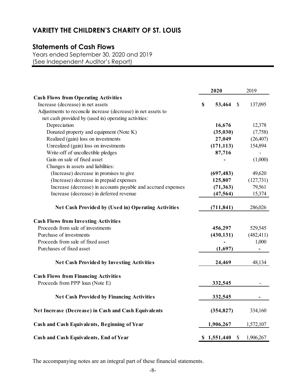## **Statements of Cash Flows**

Years ended September 30, 2020 and 2019 (See Independent Auditor's Report)

|                                                               | 2020         |              | 2019       |
|---------------------------------------------------------------|--------------|--------------|------------|
| <b>Cash Flows from Operating Activities</b>                   |              |              |            |
| Increase (decrease) in net assets                             | \$<br>53,464 | \$           | 137,095    |
| Adjustments to reconcile increase (decrease) in net assets to |              |              |            |
| net cash provided by (used in) operating activities:          |              |              |            |
| Depreciation                                                  | 16,676       |              | 12,378     |
| Donated property and equipment (Note K)                       | (35,030)     |              | (7,758)    |
| Realized (gain) loss on investments                           | 27,049       |              | (26, 407)  |
| Unrealized (gain) loss on investments                         | (171, 113)   |              | 154,894    |
| Write-off of uncollectible pledges                            | 87,716       |              |            |
| Gain on sale of fixed asset                                   |              |              | (1,000)    |
| Changes in assets and liabilities:                            |              |              |            |
| (Increase) decrease in promises to give                       | (697, 483)   |              | 49,620     |
| (Increase) decrease in prepaid expenses                       | 125,807      |              | (127, 731) |
| Increase (decrease) in accounts payable and accrued expenses  | (71, 363)    |              | 79,561     |
| Increase (decrease) in deferred revenue                       | (47, 564)    |              | 15,374     |
| <b>Net Cash Provided by (Used in) Operating Activities</b>    | (711, 841)   |              | 286,026    |
| <b>Cash Flows from Investing Activities</b>                   |              |              |            |
| Proceeds from sale of investments                             | 456,297      |              | 529,545    |
| Purchase of investments                                       | (430, 131)   |              | (482, 411) |
| Proceeds from sale of fixed asset                             |              |              | 1,000      |
| Purchases of fixed asset                                      | (1,697)      |              |            |
| <b>Net Cash Provided by Investing Activities</b>              | 24,469       |              | 48,134     |
| <b>Cash Flows from Financing Activities</b>                   |              |              |            |
| Proceeds from PPP loan (Note E)                               | 332,545      |              |            |
| <b>Net Cash Provided by Financing Activities</b>              | 332,545      |              |            |
| Net Increase (Decrease) in Cash and Cash Equivalents          | (354, 827)   |              | 334,160    |
| Cash and Cash Equivalents, Beginning of Year                  | 1,906,267    |              | 1,572,107  |
| Cash and Cash Equivalents, End of Year                        | \$1,551,440  | $\mathbb{S}$ | 1,906,267  |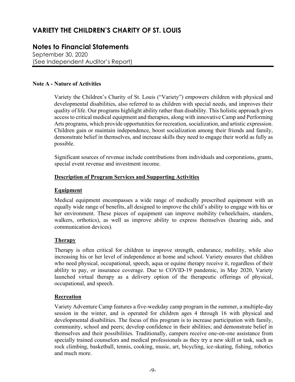**Notes to Financial Statements** September 30, 2020 (See Independent Auditor's Report)

#### **Note A - Nature of Activities**

Variety the Children's Charity of St. Louis ("Variety") empowers children with physical and developmental disabilities, also referred to as children with special needs, and improves their quality of life. Our programs highlight ability rather than disability. This holistic approach gives access to critical medical equipment and therapies, along with innovative Camp and Performing Arts programs, which provide opportunities for recreation, socialization, and artistic expression. Children gain or maintain independence, boost socialization among their friends and family, demonstrate belief in themselves, and increase skills they need to engage their world as fully as possible.

Significant sources of revenue include contributions from individuals and corporations, grants, special event revenue and investment income.

#### **Description of Program Services and Supporting Activities**

#### **Equipment**

Medical equipment encompasses a wide range of medically prescribed equipment with an equally wide range of benefits, all designed to improve the child's ability to engage with his or her environment. These pieces of equipment can improve mobility (wheelchairs, standers, walkers, orthotics), as well as improve ability to express themselves (hearing aids, and communication devices).

#### **Therapy**

Therapy is often critical for children to improve strength, endurance, mobility, while also increasing his or her level of independence at home and school. Variety ensures that children who need physical, occupational, speech, aqua or equine therapy receive it, regardless of their ability to pay, or insurance coverage. Due to COVID-19 pandemic, in May 2020, Variety launched virtual therapy as a delivery option of the therapeutic offerings of physical, occupational, and speech.

#### **Recreation**

Variety Adventure Camp features a five-weekday camp program in the summer, a multiple-day session in the winter, and is operated for children ages 4 through 16 with physical and developmental disabilities. The focus of this program is to increase participation with family, community, school and peers; develop confidence in their abilities; and demonstrate belief in themselves and their possibilities. Traditionally, campers receive one-on-one assistance from specially trained counselors and medical professionals as they try a new skill or task, such as rock climbing, basketball, tennis, cooking, music, art, bicycling, ice-skating, fishing, robotics and much more.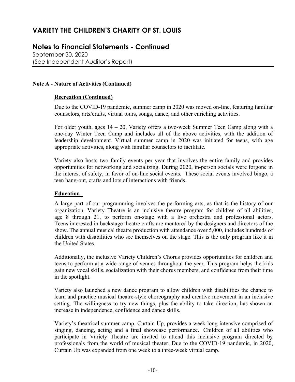## **Notes to Financial Statements - Continued**

September 30, 2020 (See Independent Auditor's Report)

#### **Note A - Nature of Activities (Continued)**

#### **Recreation (Continued)**

Due to the COVID-19 pandemic, summer camp in 2020 was moved on-line, featuring familiar counselors, arts/crafts, virtual tours, songs, dance, and other enriching activities.

For older youth, ages 14 – 20, Variety offers a two-week Summer Teen Camp along with a one-day Winter Teen Camp and includes all of the above activities, with the addition of leadership development. Virtual summer camp in 2020 was initiated for teens, with age appropriate activities, along with familiar counselors to facilitate.

Variety also hosts two family events per year that involves the entire family and provides opportunities for networking and socializing. During 2020, in-person socials were forgone in the interest of safety, in favor of on-line social events. These social events involved bingo, a teen hang-out, crafts and lots of interactions with friends.

#### **Education**

A large part of our programming involves the performing arts, as that is the history of our organization. Variety Theatre is an inclusive theatre program for children of all abilities, age 8 through 21, to perform on-stage with a live orchestra and professional actors. Teens interested in backstage theatre crafts are mentored by the designers and directors of the show. The annual musical theatre production with attendance over 5,000, includes hundreds of children with disabilities who see themselves on the stage. This is the only program like it in the United States.

Additionally, the inclusive Variety Children's Chorus provides opportunities for children and teens to perform at a wide range of venues throughout the year. This program helps the kids gain new vocal skills, socialization with their chorus members, and confidence from their time in the spotlight.

Variety also launched a new dance program to allow children with disabilities the chance to learn and practice musical theatre-style choreography and creative movement in an inclusive setting. The willingness to try new things, plus the ability to take direction, has shown an increase in independence, confidence and dance skills.

Variety's theatrical summer camp, Curtain Up, provides a week-long intensive comprised of singing, dancing, acting and a final showcase performance. Children of all abilities who participate in Variety Theatre are invited to attend this inclusive program directed by professionals from the world of musical theater. Due to the COVID-19 pandemic, in 2020, Curtain Up was expanded from one week to a three-week virtual camp.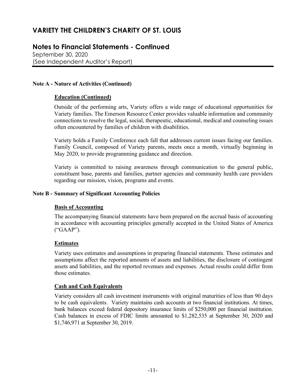## **Notes to Financial Statements - Continued**

September 30, 2020 (See Independent Auditor's Report)

#### **Note A - Nature of Activities (Continued)**

#### **Education (Continued)**

Outside of the performing arts, Variety offers a wide range of educational opportunities for Variety families. The Emerson Resource Center provides valuable information and community connections to resolve the legal, social, therapeutic, educational, medical and counseling issues often encountered by families of children with disabilities.

Variety holds a Family Conference each fall that addresses current issues facing our families. Family Council, composed of Variety parents, meets once a month, virtually beginning in May 2020, to provide programming guidance and direction.

Variety is committed to raising awareness through communication to the general public, constituent base, parents and families, partner agencies and community health care providers regarding our mission, vision, programs and events.

#### **Note B - Summary of Significant Accounting Policies**

#### **Basis of Accounting**

The accompanying financial statements have been prepared on the accrual basis of accounting in accordance with accounting principles generally accepted in the United States of America ("GAAP").

#### **Estimates**

Variety uses estimates and assumptions in preparing financial statements. Those estimates and assumptions affect the reported amounts of assets and liabilities, the disclosure of contingent assets and liabilities, and the reported revenues and expenses. Actual results could differ from those estimates.

#### **Cash and Cash Equivalents**

Variety considers all cash investment instruments with original maturities of less than 90 days to be cash equivalents. Variety maintains cash accounts at two financial institutions. At times, bank balances exceed federal depository insurance limits of \$250,000 per financial institution. Cash balances in excess of FDIC limits amounted to \$1,282,535 at September 30, 2020 and \$1,746,971 at September 30, 2019.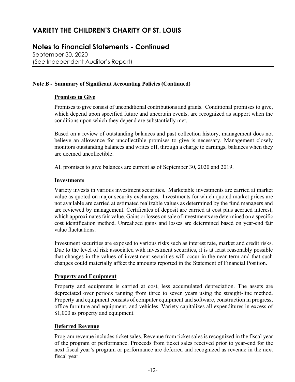## **Notes to Financial Statements - Continued**

September 30, 2020 (See Independent Auditor's Report)

#### **Note B - Summary of Significant Accounting Policies (Continued)**

#### **Promises to Give**

Promises to give consist of unconditional contributions and grants. Conditional promises to give, which depend upon specified future and uncertain events, are recognized as support when the conditions upon which they depend are substantially met.

Based on a review of outstanding balances and past collection history, management does not believe an allowance for uncollectible promises to give is necessary. Management closely monitors outstanding balances and writes off, through a charge to earnings, balances when they are deemed uncollectible.

All promises to give balances are current as of September 30, 2020 and 2019.

#### **Investments**

Variety invests in various investment securities. Marketable investments are carried at market value as quoted on major security exchanges. Investments for which quoted market prices are not available are carried at estimated realizable values as determined by the fund managers and are reviewed by management. Certificates of deposit are carried at cost plus accrued interest, which approximates fair value. Gains or losses on sale of investments are determined on a specific cost identification method. Unrealized gains and losses are determined based on year-end fair value fluctuations.

Investment securities are exposed to various risks such as interest rate, market and credit risks. Due to the level of risk associated with investment securities, it is at least reasonably possible that changes in the values of investment securities will occur in the near term and that such changes could materially affect the amounts reported in the Statement of Financial Position.

#### **Property and Equipment**

Property and equipment is carried at cost, less accumulated depreciation. The assets are depreciated over periods ranging from three to seven years using the straight-line method. Property and equipment consists of computer equipment and software, construction in progress, office furniture and equipment, and vehicles. Variety capitalizes all expenditures in excess of \$1,000 as property and equipment.

#### **Deferred Revenue**

Program revenue includes ticket sales. Revenue from ticket sales is recognized in the fiscal year of the program or performance. Proceeds from ticket sales received prior to year-end for the next fiscal year's program or performance are deferred and recognized as revenue in the next fiscal year.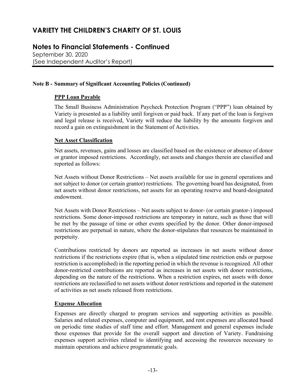# **Notes to Financial Statements - Continued**

September 30, 2020 (See Independent Auditor's Report)

#### **Note B - Summary of Significant Accounting Policies (Continued)**

#### **PPP Loan Payable**

The Small Business Administration Paycheck Protection Program ("PPP") loan obtained by Variety is presented as a liability until forgiven or paid back. If any part of the loan is forgiven and legal release is received, Variety will reduce the liability by the amounts forgiven and record a gain on extinguishment in the Statement of Activities.

#### **Net Asset Classification**

Net assets, revenues, gains and losses are classified based on the existence or absence of donor or grantor imposed restrictions. Accordingly, net assets and changes therein are classified and reported as follows:

Net Assets without Donor Restrictions – Net assets available for use in general operations and not subject to donor (or certain grantor) restrictions. The governing board has designated, from net assets without donor restrictions, net assets for an operating reserve and board-designated endowment.

Net Assets with Donor Restrictions – Net assets subject to donor- (or certain grantor-) imposed restrictions. Some donor-imposed restrictions are temporary in nature, such as those that will be met by the passage of time or other events specified by the donor. Other donor-imposed restrictions are perpetual in nature, where the donor-stipulates that resources be maintained in perpetuity.

Contributions restricted by donors are reported as increases in net assets without donor restrictions if the restrictions expire (that is, when a stipulated time restriction ends or purpose restriction is accomplished) in the reporting period in which the revenue is recognized. All other donor-restricted contributions are reported as increases in net assets with donor restrictions, depending on the nature of the restrictions. When a restriction expires, net assets with donor restrictions are reclassified to net assets without donor restrictions and reported in the statement of activities as net assets released from restrictions.

#### **Expense Allocation**

Expenses are directly charged to program services and supporting activities as possible. Salaries and related expenses, computer and equipment, and rent expenses are allocated based on periodic time studies of staff time and effort. Management and general expenses include those expenses that provide for the overall support and direction of Variety. Fundraising expenses support activities related to identifying and accessing the resources necessary to maintain operations and achieve programmatic goals.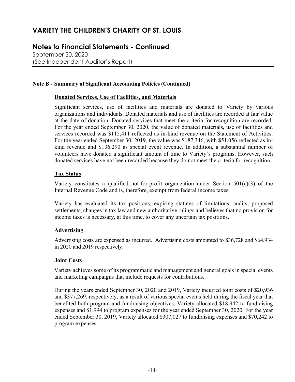## **Notes to Financial Statements - Continued**

September 30, 2020 (See Independent Auditor's Report)

#### **Note B - Summary of Significant Accounting Policies (Continued)**

#### **Donated Services, Use of Facilities, and Materials**

Significant services, use of facilities and materials are donated to Variety by various organizations and individuals. Donated materials and use of facilities are recorded at fair value at the date of donation. Donated services that meet the criteria for recognition are recorded. For the year ended September 30, 2020, the value of donated materials, use of facilities and services recorded was \$115,411 reflected as in-kind revenue on the Statement of Activities. For the year ended September 30, 2019, the value was \$187,346, with \$51,056 reflected as inkind revenue and \$136,290 as special event revenue. In addition, a substantial number of volunteers have donated a significant amount of time to Variety's programs. However, such donated services have not been recorded because they do not meet the criteria for recognition.

#### **Tax Status**

Variety constitutes a qualified not-for-profit organization under Section  $501(c)(3)$  of the Internal Revenue Code and is, therefore, exempt from federal income taxes.

Variety has evaluated its tax positions, expiring statutes of limitations, audits, proposed settlements, changes in tax law and new authoritative rulings and believes that no provision for income taxes is necessary, at this time, to cover any uncertain tax positions.

#### **Advertising**

Advertising costs are expensed as incurred. Advertising costs amounted to \$36,728 and \$64,934 in 2020 and 2019 respectively.

#### **Joint Costs**

Variety achieves some of its programmatic and management and general goals in special events and marketing campaigns that include requests for contributions.

During the years ended September 30, 2020 and 2019, Variety incurred joint costs of \$20,936 and \$377,269, respectively, as a result of various special events held during the fiscal year that benefited both program and fundraising objectives. Variety allocated \$18,942 to fundraising expenses and \$1,994 to program expenses for the year ended September 30, 2020. For the year ended September 30, 2019, Variety allocated \$307,027 to fundraising expenses and \$70,242 to program expenses.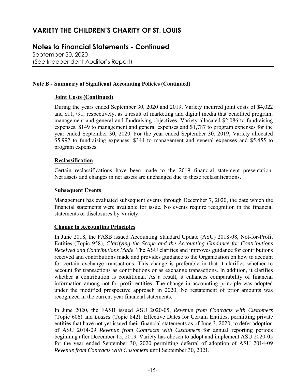**Notes to Financial Statements - Continued**

September 30, 2020 (See Independent Auditor's Report)

#### **Note B - Summary of Significant Accounting Policies (Continued)**

#### **Joint Costs (Continued)**

During the years ended September 30, 2020 and 2019, Variety incurred joint costs of \$4,022 and \$11,791, respectively, as a result of marketing and digital media that benefited program, management and general and fundraising objectives. Variety allocated \$2,086 to fundraising expenses, \$149 to management and general expenses and \$1,787 to program expenses for the year ended September 30, 2020. For the year ended September 30, 2019, Variety allocated \$5,992 to fundraising expenses, \$344 to management and general expenses and \$5,455 to program expenses.

#### **Reclassification**

Certain reclassifications have been made to the 2019 financial statement presentation. Net assets and changes in net assets are unchanged due to these reclassifications.

#### **Subsequent Events**

Management has evaluated subsequent events through December 7, 2020, the date which the financial statements were available for issue. No events require recognition in the financial statements or disclosures by Variety.

#### **Change in Accounting Principles**

In June 2018, the FASB issued Accounting Standard Update (ASU) 2018-08, Not-for-Profit Entities (Topic 958), *Clarifying the Scope and the Accounting Guidance for Contributions Received and Contributions Made*. The ASU clarifies and improves guidance for contributions received and contributions made and provides guidance to the Organization on how to account for certain exchange transactions. This change is preferable in that it clarifies whether to account for transactions as contributions or as exchange transactions. In addition, it clarifies whether a contribution is conditional. As a result, it enhances comparability of financial information among not-for-profit entities. The change in accounting principle was adopted under the modified prospective approach in 2020. No restatement of prior amounts was recognized in the current year financial statements.

In June 2020, the FASB issued ASU 2020-05, *Revenue from Contracts with Customers* (Topic 606) and *Leases* (Topic 842): Effective Dates for Certain Entities, permitting private entities that have not yet issued their financial statements as of June 3, 2020, to defer adoption of ASU 2014-09 *Revenue from Contracts with Customers* for annual reporting periods beginning after December 15, 2019. Variety has chosen to adopt and implement ASU 2020-05 for the year ended September 30, 2020 permitting deferral of adoption of ASU 2014-09 *Revenue from Contracts with Customers* until September 30, 2021.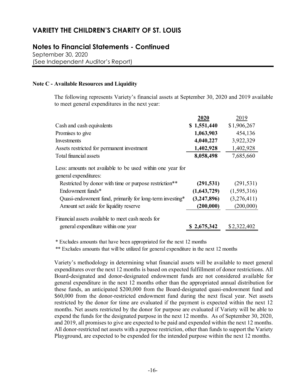## **Notes to Financial Statements - Continued**

September 30, 2020 (See Independent Auditor's Report)

#### **Note C - Available Resources and Liquidity**

The following represents Variety's financial assets at September 30, 2020 and 2019 available to meet general expenditures in the next year:

|                                                                    | 2020        | 2019        |
|--------------------------------------------------------------------|-------------|-------------|
| Cash and cash equivalents                                          | \$1,551,440 | \$1,906,267 |
| Promises to give                                                   | 1,063,903   | 454,136     |
| Investments                                                        | 4,040,227   | 3,922,329   |
| Assets restricted for permanent investment                         | 1,402,928   | 1,402,928   |
| Total financial assets                                             | 8,058,498   | 7,685,660   |
| Less: amounts not available to be used within one year for         |             |             |
| general expenditures:                                              |             |             |
| Restricted by donor with time or purpose restriction <sup>**</sup> | (291, 531)  | (291, 531)  |
| Endowment funds*                                                   | (1,643,729) | (1,595,316) |
| Quasi-endowment fund, primarily for long-term investing*           | (3,247,896) | (3,276,411) |
| Amount set aside for liquidity reserve                             | (200, 000)  | (200,000)   |
| Financial assets available to meet cash needs for                  |             |             |
| general expenditure within one year                                | \$2,675,342 | \$2,322,402 |

\* Excludes amounts that have been appropriated for the next 12 months

\*\* Excludes amounts that will be utilized for general expenditure in the next 12 months

Variety's methodology in determining what financial assets will be available to meet general expenditures over the next 12 months is based on expected fulfillment of donor restrictions. All Board-designated and donor-designated endowment funds are not considered available for general expenditure in the next 12 months other than the appropriated annual distribution for these funds, an anticipated \$200,000 from the Board-designated quasi-endowment fund and \$60,000 from the donor-restricted endowment fund during the next fiscal year. Net assets restricted by the donor for time are evaluated if the payment is expected within the next 12 months. Net assets restricted by the donor for purpose are evaluated if Variety will be able to expend the funds for the designated purpose in the next 12 months. As of September 30, 2020, and 2019, all promises to give are expected to be paid and expended within the next 12 months. All donor-restricted net assets with a purpose restriction, other than funds to support the Variety Playground, are expected to be expended for the intended purpose within the next 12 months.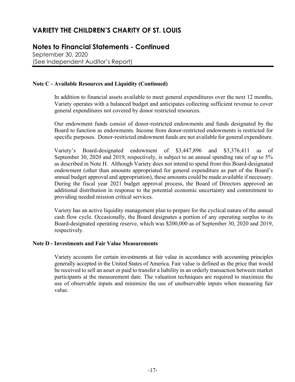## **Notes to Financial Statements - Continued** September 30, 2020

(See Independent Auditor's Report)

#### **Note C - Available Resources and Liquidity (Continued)**

In addition to financial assets available to meet general expenditures over the next 12 months, Variety operates with a balanced budget and anticipates collecting sufficient revenue to cover general expenditures not covered by donor restricted resources.

Our endowment funds consist of donor-restricted endowments and funds designated by the Board to function as endowments. Income from donor-restricted endowments is restricted for specific purposes. Donor-restricted endowment funds are not available for general expenditure.

Variety's Board-designated endowment of \$3,447,896 and \$3,376,411 as of September 30, 2020 and 2019, respectively, is subject to an annual spending rate of up to 5% as described in Note H. Although Variety does not intend to spend from this Board-designated endowment (other than amounts appropriated for general expenditure as part of the Board's annual budget approval and appropriation), these amounts could be made available if necessary. During the fiscal year 2021 budget approval process, the Board of Directors approved an additional distribution in response to the potential economic uncertainty and commitment to providing needed mission critical services.

Variety has an active liquidity management plan to prepare for the cyclical nature of the annual cash flow cycle. Occasionally, the Board designates a portion of any operating surplus to its Board-designated operating reserve, which was \$200,000 as of September 30, 2020 and 2019, respectively.

#### **Note D - Investments and Fair Value Measurements**

Variety accounts for certain investments at fair value in accordance with accounting principles generally accepted in the United States of America. Fair value is defined as the price that would be received to sell an asset or paid to transfer a liability in an orderly transaction between market participants at the measurement date. The valuation techniques are required to maximize the use of observable inputs and minimize the use of unobservable inputs when measuring fair value.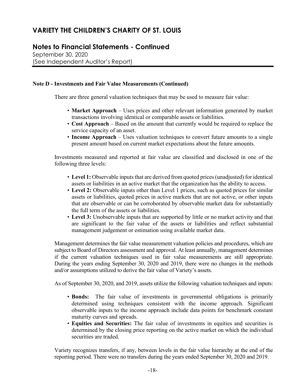## **Notes to Financial Statements - Continued**

September 30, 2020 (See Independent Auditor's Report)

#### **Note D - Investments and Fair Value Measurements (Continued)**

There are three general valuation techniques that may be used to measure fair value:

- **Market Approach** Uses prices and other relevant information generated by market transactions involving identical or comparable assets or liabilities.
- **Cost Approach** Based on the amount that currently would be required to replace the service capacity of an asset.
- **Income Approach** Uses valuation techniques to convert future amounts to a single present amount based on current market expectations about the future amounts.

Investments measured and reported at fair value are classified and disclosed in one of the following three levels:

- **Level 1:** Observable inputs that are derived from quoted prices (unadjusted) for identical assets or liabilities in an active market that the organization has the ability to access.
- **Level 2:** Observable inputs other than Level 1 prices, such as quoted prices for similar assets or liabilities, quoted prices in active markets that are not active, or other inputs that are observable or can be corroborated by observable market data for substantially the full term of the assets or liabilities.
- **Level 3:** Unobservable inputs that are supported by little or no market activity and that are significant to the fair value of the assets or liabilities and reflect substantial management judgement or estimation using available market data.

Management determines the fair value measurement valuation policies and procedures, which are subject to Board of Directors assessment and approval. At least annually, management determines if the current valuation techniques used in fair value measurements are still appropriate. During the years ending September 30, 2020 and 2019, there were no changes in the methods and/or assumptions utilized to derive the fair value of Variety's assets.

As of September 30, 2020, and 2019, assets utilize the following valuation techniques and inputs:

- **Bonds:** The fair value of investments in governmental obligations is primarily determined using techniques consistent with the income approach. Significant observable inputs to the income approach include data points for benchmark constant maturity curves and spreads.
- **Equities and Securities:** The fair value of investments in equities and securities is determined by the closing price reporting on the active market on which the individual securities are traded.

Variety recognizes transfers, if any, between levels in the fair value hierarchy at the end of the reporting period. There were no transfers during the years ended September 30, 2020 and 2019.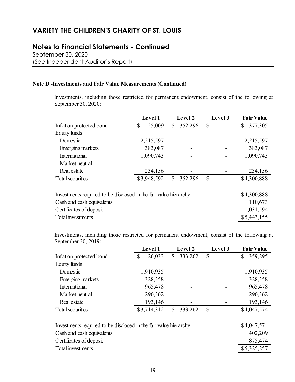## **Notes to Financial Statements - Continued**

September 30, 2020 (See Independent Auditor's Report)

#### **Note D -Investments and Fair Value Measurements (Continued)**

Investments, including those restricted for permanent endowment, consist of the following at September 30, 2020:

|                                                                  | Level 1      | Level 2                 | Level 3      | <b>Fair Value</b> |
|------------------------------------------------------------------|--------------|-------------------------|--------------|-------------------|
| Inflation protected bond                                         | 25,009<br>\$ | 352,296<br>$\mathbb{S}$ | \$           | 377,305<br>\$     |
| Equity funds                                                     |              |                         |              |                   |
| Domestic                                                         | 2,215,597    |                         |              | 2,215,597         |
| Emerging markets                                                 | 383,087      |                         |              | 383,087           |
| International                                                    | 1,090,743    |                         |              | 1,090,743         |
| Market neutral                                                   |              |                         |              |                   |
| Real estate                                                      | 234,156      |                         |              | 234,156           |
| Total securities                                                 | \$3,948,592  | 352,296<br>\$           | $\mathbb{S}$ | \$4,300,888       |
|                                                                  |              |                         |              |                   |
| Investments required to be disclosed in the fair value hierarchy |              |                         |              | \$4,300,888       |
| Cash and cash equivalents                                        |              |                         |              | 110,673           |

| Cash and cash equivalents | 110.073     |
|---------------------------|-------------|
| Certificates of deposit   | 1,031,594   |
| Total investments         | \$5,443,155 |
|                           |             |

Investments, including those restricted for permanent endowment, consist of the following at September 30, 2019:

|                          | Level 1     | Level 2       | Level 3                   | <b>Fair Value</b> |  |  |
|--------------------------|-------------|---------------|---------------------------|-------------------|--|--|
| Inflation protected bond | 26,033<br>S | 333,262<br>\$ | \$                        | 359,295<br>\$     |  |  |
| Equity funds             |             |               |                           |                   |  |  |
| Domestic                 | 1,910,935   |               |                           | 1,910,935         |  |  |
| Emerging markets         | 328,358     |               |                           | 328,358           |  |  |
| International            | 965,478     |               |                           | 965,478           |  |  |
| Market neutral           | 290,362     |               |                           | 290,362           |  |  |
| Real estate              | 193,146     |               |                           | 193,146           |  |  |
| Total securities         | \$3,714,312 | 333,262<br>S  | $\boldsymbol{\mathsf{S}}$ | \$4,047,574       |  |  |

| Investments required to be disclosed in the fair value hierarchy | \$4,047,574 |
|------------------------------------------------------------------|-------------|
| Cash and cash equivalents                                        | 402,209     |
| Certificates of deposit                                          | 875,474     |
| Total investments                                                | \$5,325,257 |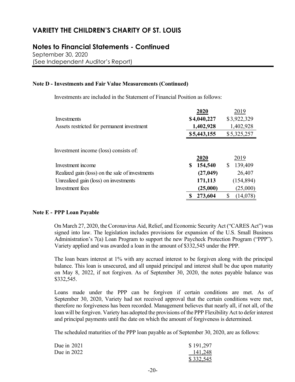## **Notes to Financial Statements - Continued**

September 30, 2020 (See Independent Auditor's Report)

#### **Note D - Investments and Fair Value Measurements (Continued)**

Investments are included in the Statement of Financial Position as follows:

|                                                 | 2020          | 2019           |
|-------------------------------------------------|---------------|----------------|
| Investments                                     | \$4,040,227   | \$3,922,329    |
| Assets restricted for permanent investment      | 1,402,928     | 1,402,928      |
|                                                 | \$5,443,155   | \$5,325,257    |
| Investment income (loss) consists of:           | 2020          | 2019           |
| Investment income                               | 154,540<br>\$ | 139,409<br>\$  |
| Realized gain (loss) on the sale of investments | (27, 049)     | 26,407         |
| Unrealized gain (loss) on investments           | 171,113       | (154, 894)     |
| Investment fees                                 | (25,000)      | (25,000)       |
|                                                 | 273,604<br>\$ | \$<br>(14,078) |

#### **Note E - PPP Loan Payable**

On March 27, 2020, the Coronavirus Aid, Relief, and Economic Security Act ("CARES Act") was signed into law. The legislation includes provisions for expansion of the U.S. Small Business Administration's 7(a) Loan Program to support the new Paycheck Protection Program ("PPP"). Variety applied and was awarded a loan in the amount of \$332,545 under the PPP.

The loan bears interest at 1% with any accrued interest to be forgiven along with the principal balance. This loan is unsecured, and all unpaid principal and interest shall be due upon maturity on May 8, 2022, if not forgiven. As of September 30, 2020, the notes payable balance was \$332,545.

Loans made under the PPP can be forgiven if certain conditions are met. As of September 30, 2020, Variety had not received approval that the certain conditions were met, therefore no forgiveness has been recorded. Management believes that nearly all, if not all, of the loan will be forgiven. Variety has adopted the provisions of the PPP Flexibility Act to defer interest and principal payments until the date on which the amount of forgiveness is determined.

The scheduled maturities of the PPP loan payable as of September 30, 2020, are as follows:

| Due in $2021$ | \$191,297 |
|---------------|-----------|
| Due in $2022$ | 141,248   |
|               | \$332,545 |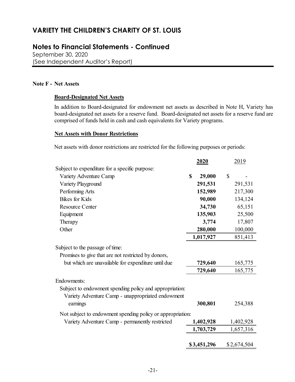## **Notes to Financial Statements - Continued**

September 30, 2020 (See Independent Auditor's Report)

#### **Note F - Net Assets**

#### **Board-Designated Net Assets**

In addition to Board-designated for endowment net assets as described in Note H, Variety has board-designated net assets for a reserve fund. Board-designated net assets for a reserve fund are comprised of funds held in cash and cash equivalents for Variety programs.

#### **Net Assets with Donor Restrictions**

Net assets with donor restrictions are restricted for the following purposes or periods:

|                                                                                                              | 2020        |        | 2019        |
|--------------------------------------------------------------------------------------------------------------|-------------|--------|-------------|
| Subject to expenditure for a specific purpose:                                                               |             |        |             |
| Variety Adventure Camp                                                                                       | $\mathbf S$ | 29,000 | \$          |
| Variety Playground                                                                                           | 291,531     |        | 291,531     |
| Performing Arts                                                                                              | 152,989     |        | 217,300     |
| <b>Bikes for Kids</b>                                                                                        |             | 90,000 | 134,124     |
| <b>Resource Center</b>                                                                                       | 34,730      |        | 65,151      |
| Equipment                                                                                                    | 135,903     |        | 25,500      |
| Therapy                                                                                                      |             | 3,774  | 17,807      |
| Other                                                                                                        | 280,000     |        | 100,000     |
|                                                                                                              | 1,017,927   |        | 851,413     |
| Subject to the passage of time:                                                                              |             |        |             |
| Promises to give that are not restricted by donors,                                                          |             |        |             |
| but which are unavailable for expenditure until due                                                          | 729,640     |        | 165,775     |
|                                                                                                              | 729,640     |        | 165,775     |
| Endowments:                                                                                                  |             |        |             |
| Subject to endowment spending policy and appropriation:<br>Variety Adventure Camp - unappropriated endowment |             |        |             |
| earnings                                                                                                     | 300,801     |        | 254,388     |
| Not subject to endowment spending policy or appropriation:                                                   |             |        |             |
| Variety Adventure Camp - permanently restricted                                                              | 1,402,928   |        | 1,402,928   |
|                                                                                                              | 1,703,729   |        | 1,657,316   |
|                                                                                                              |             |        |             |
|                                                                                                              | \$3,451,296 |        | \$2,674,504 |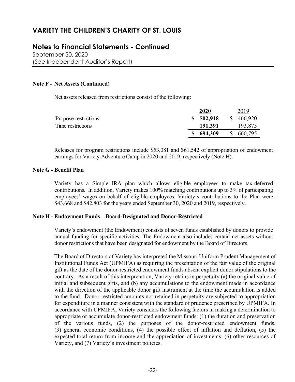## **Notes to Financial Statements - Continued**

September 30, 2020 (See Independent Auditor's Report)

#### **Note F - Net Assets (Continued)**

Net assets released from restrictions consist of the following:

|                      | 2020      |    | 2019      |
|----------------------|-----------|----|-----------|
| Purpose restrictions | \$502,918 |    | \$466,920 |
| Time restrictions    | 191,391   |    | 193,875   |
|                      | 694,309   | S. | 660,795   |

Releases for program restrictions include \$53,081 and \$61,542 of appropriation of endowment earnings for Variety Adventure Camp in 2020 and 2019, respectively (Note H).

#### **Note G - Benefit Plan**

Variety has a Simple IRA plan which allows eligible employees to make tax-deferred contributions. In addition, Variety makes 100% matching contributions up to 3% of participating employees' wages on behalf of eligible employees. Variety's contributions to the Plan were \$43,668 and \$42,803 for the years ended September 30, 2020 and 2019, respectively.

#### **Note H - Endowment Funds – Board-Designated and Donor-Restricted**

Variety's endowment (the Endowment) consists of seven funds established by donors to provide annual funding for specific activities. The Endowment also includes certain net assets without donor restrictions that have been designated for endowment by the Board of Directors.

The Board of Directors of Variety has interpreted the Missouri Uniform Prudent Management of Institutional Funds Act (UPMIFA) as requiring the presentation of the fair value of the original gift as the date of the donor-restricted endowment funds absent explicit donor stipulations to the contrary. As a result of this interpretation, Variety retains in perpetuity (a) the original value of initial and subsequent gifts, and (b) any accumulations to the endowment made in accordance with the direction of the applicable donor gift instrument at the time the accumulation is added to the fund. Donor-restricted amounts not retained in perpetuity are subjected to appropriation for expenditure in a manner consistent with the standard of prudence prescribed by UPMIFA. In accordance with UPMIFA, Variety considers the following factors in making a determination to appropriate or accumulate donor-restricted endowment funds: (1) the duration and preservation of the various funds, (2) the purposes of the donor-restricted endowment funds, (3) general economic conditions, (4) the possible effect of inflation and deflation, (5) the expected total return from income and the appreciation of investments, (6) other resources of Variety, and (7) Variety's investment policies.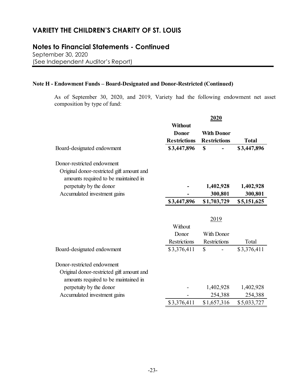## **Notes to Financial Statements - Continued**

September 30, 2020 (See Independent Auditor's Report)

#### **Note H - Endowment Funds – Board-Designated and Donor-Restricted (Continued)**

As of September 30, 2020, and 2019, Variety had the following endowment net asset composition by type of fund:

|                                                                                   |                     | 2020                |              |
|-----------------------------------------------------------------------------------|---------------------|---------------------|--------------|
|                                                                                   | <b>Without</b>      |                     |              |
|                                                                                   | <b>Donor</b>        | <b>With Donor</b>   |              |
|                                                                                   | <b>Restrictions</b> | <b>Restrictions</b> | <b>Total</b> |
| Board-designated endowment                                                        | \$3,447,896         | \$                  | \$3,447,896  |
| Donor-restricted endowment                                                        |                     |                     |              |
| Original donor-restricted gift amount and<br>amounts required to be maintained in |                     |                     |              |
| perpetuity by the donor                                                           |                     | 1,402,928           | 1,402,928    |
| Accumulated investment gains                                                      |                     | 300,801             | 300,801      |
|                                                                                   | \$3,447,896         | \$1,703,729         | \$5,151,625  |
|                                                                                   |                     |                     |              |
|                                                                                   |                     | 2019                |              |
|                                                                                   | Without             |                     |              |
|                                                                                   | Donor               | With Donor          |              |
|                                                                                   | Restrictions        | Restrictions        | Total        |
| Board-designated endowment                                                        | \$3,376,411         | $\mathbb{S}$        | \$3,376,411  |
| Donor-restricted endowment                                                        |                     |                     |              |
| Original donor-restricted gift amount and                                         |                     |                     |              |
| amounts required to be maintained in                                              |                     |                     |              |
| perpetuity by the donor                                                           |                     | 1,402,928           | 1,402,928    |
| Accumulated investment gains                                                      |                     | 254,388             | 254,388      |
|                                                                                   | \$3,376,411         | \$1,657,316         | \$5,033,727  |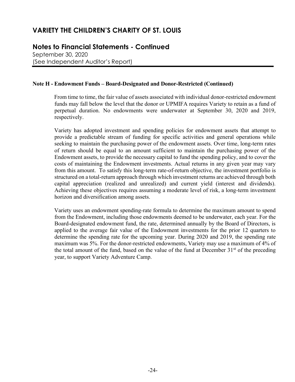# **Notes to Financial Statements - Continued**

September 30, 2020 (See Independent Auditor's Report)

#### **Note H - Endowment Funds – Board-Designated and Donor-Restricted (Continued)**

From time to time, the fair value of assets associated with individual donor-restricted endowment funds may fall below the level that the donor or UPMIFA requires Variety to retain as a fund of perpetual duration. No endowments were underwater at September 30, 2020 and 2019, respectively.

Variety has adopted investment and spending policies for endowment assets that attempt to provide a predictable stream of funding for specific activities and general operations while seeking to maintain the purchasing power of the endowment assets. Over time, long-term rates of return should be equal to an amount sufficient to maintain the purchasing power of the Endowment assets, to provide the necessary capital to fund the spending policy, and to cover the costs of maintaining the Endowment investments. Actual returns in any given year may vary from this amount. To satisfy this long-term rate-of-return objective, the investment portfolio is structured on a total-return approach through which investment returns are achieved through both capital appreciation (realized and unrealized) and current yield (interest and dividends). Achieving these objectives requires assuming a moderate level of risk, a long-term investment horizon and diversification among assets.

Variety uses an endowment spending-rate formula to determine the maximum amount to spend from the Endowment, including those endowments deemed to be underwater, each year. For the Board-designated endowment fund, the rate, determined annually by the Board of Directors, is applied to the average fair value of the Endowment investments for the prior 12 quarters to determine the spending rate for the upcoming year. During 2020 and 2019, the spending rate maximum was 5%. For the donor-restricted endowments, Variety may use a maximum of 4% of the total amount of the fund, based on the value of the fund at December  $31<sup>st</sup>$  of the preceding year, to support Variety Adventure Camp.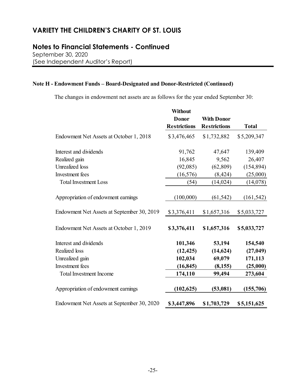## **Notes to Financial Statements - Continued**

September 30, 2020 (See Independent Auditor's Report)

#### **Note H - Endowment Funds – Board-Designated and Donor-Restricted (Continued)**

The changes in endowment net assets are as follows for the year ended September 30:

|                                            | <b>Without</b>      |                     |              |
|--------------------------------------------|---------------------|---------------------|--------------|
|                                            | <b>Donor</b>        | <b>With Donor</b>   |              |
|                                            | <b>Restrictions</b> | <b>Restrictions</b> | <b>Total</b> |
| Endowment Net Assets at October 1, 2018    | \$3,476,465         | \$1,732,882         | \$5,209,347  |
| Interest and dividends                     | 91,762              | 47,647              | 139,409      |
| Realized gain                              | 16,845              | 9,562               | 26,407       |
| <b>Unrealized</b> loss                     | (92,085)            | (62, 809)           | (154, 894)   |
| Investment fees                            | (16, 576)           | (8, 424)            | (25,000)     |
| <b>Total Investment Loss</b>               | (54)                | (14, 024)           | (14,078)     |
| Appropriation of endowment earnings        | (100,000)           | (61, 542)           | (161, 542)   |
| Endowment Net Assets at September 30, 2019 | \$3,376,411         | \$1,657,316         | \$5,033,727  |
| Endowment Net Assets at October 1, 2019    | \$3,376,411         | \$1,657,316         | \$5,033,727  |
| Interest and dividends                     | 101,346             | 53,194              | 154,540      |
| Realized loss                              | (12, 425)           | (14, 624)           | (27, 049)    |
| Unrealized gain                            | 102,034             | 69,079              | 171,113      |
| Investment fees                            | (16, 845)           | (8, 155)            | (25,000)     |
| <b>Total Investment Income</b>             | 174,110             | 99,494              | 273,604      |
| Appropriation of endowment earnings        | (102, 625)          | (53,081)            | (155,706)    |
| Endowment Net Assets at September 30, 2020 | \$3,447,896         | \$1,703,729         | \$5,151,625  |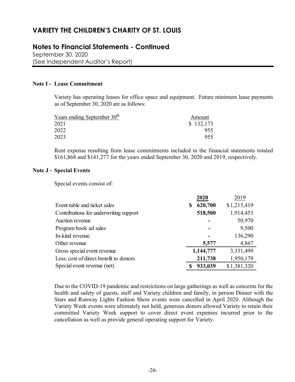## **Notes to Financial Statements - Continued**

September 30, 2020 (See Independent Auditor's Report)

#### **Note I - Lease Commitment**

Variety has operating leases for office space and equipment. Future minimum lease payments as of September 30, 2020 are as follows:

| Amount    |
|-----------|
| \$132,173 |
| 955       |
| 955       |
|           |

Rent expense resulting from lease commitments included in the financial statements totaled \$161,868 and \$141,277 for the years ended September 30, 2020 and 2019, respectively.

#### **Note J - Special Events**

Special events consist of:

|                                        | 2020         | 2019        |
|----------------------------------------|--------------|-------------|
| Event table and ticket sales           | 620,700<br>S | \$1,215,419 |
| Contributions for underwriting support | 518,500      | 1,914,453   |
| Auction revenue                        |              | 50,970      |
| Program book ad sales                  |              | 9,500       |
| In-kind revenue                        |              | 136,290     |
| Other revenue                          | 5,577        | 4,867       |
| Gross special event revenue            | 1,144,777    | 3,331,499   |
| Less: cost of direct benefit to donors | 211,738      | 1,950,179   |
| Special event revenue (net)            | 933,039<br>S | \$1,381,320 |

Due to the COVID-19 pandemic and restrictions on large gatherings as well as concerns for the health and safety of guests, staff and Variety children and family, in person Dinner with the Stars and Runway Lights Fashion Show events were cancelled in April 2020. Although the Variety Week events were ultimately not held, generous donors allowed Variety to retain their committed Variety Week support to cover direct event expenses incurred prior to the cancellation as well as provide general operating support for Variety.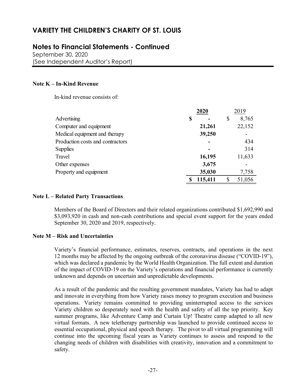## **Notes to Financial Statements - Continued**

September 30, 2020 (See Independent Auditor's Report)

#### **Note K – In-Kind Revenue**

In-kind revenue consists of:

|                                  | 2020    | 2019         |
|----------------------------------|---------|--------------|
| Advertising                      | \$      | \$<br>8,765  |
| Computer and equipment           | 21,261  | 22,152       |
| Medical equipment and therapy    | 39,250  |              |
| Production costs and contractors |         | 434          |
| <b>Supplies</b>                  |         | 314          |
| Travel                           | 16,195  | 11,633       |
| Other expenses                   | 3,675   |              |
| Property and equipment           | 35,030  | 7,758        |
|                                  | 115,411 | \$<br>51,056 |

#### **Note L – Related Party Transactions**

Members of the Board of Directors and their related organizations contributed \$1,692,990 and \$3,093,920 in cash and non-cash contributions and special event support for the years ended September 30, 2020 and 2019, respectively.

#### **Note M – Risk and Uncertainties**

Variety's financial performance, estimates, reserves, contracts, and operations in the next 12 months may be affected by the ongoing outbreak of the coronavirus disease ("COVID-19"), which was declared a pandemic by the World Health Organization. The full extent and duration of the impact of COVID-19 on the Variety's operations and financial performance is currently unknown and depends on uncertain and unpredictable developments.

As a result of the pandemic and the resulting government mandates, Variety has had to adapt and innovate in everything from how Variety raises money to program execution and business operations. Variety remains committed to providing uninterrupted access to the services Variety children so desperately need with the health and safety of all the top priority. Key summer programs, like Adventure Camp and Curtain Up! Theatre camp adapted to all new virtual formats. A new teletherapy partnership was launched to provide continued access to essential occupational, physical and speech therapy. The pivot to all virtual programming will continue into the upcoming fiscal years as Variety continues to assess and respond to the changing needs of children with disabilities with creativity, innovation and a commitment to safety.